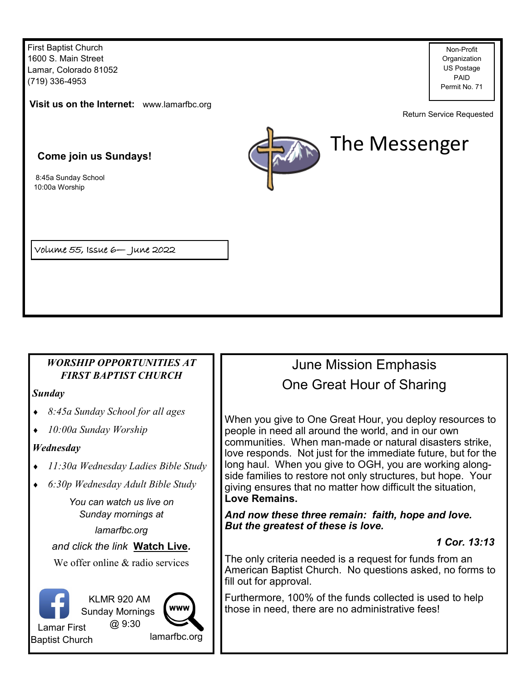First Baptist Church 1600 S. Main Street Lamar, Colorado 81052 (719) 336-4953

**Visit us on the Internet:** www.lamarfbc.org

Non-Profit **Organization** US Postage PAID Permit No. 71

Return Service Requested

#### **Come join us Sundays!**

8:45a Sunday School 10:00a Worship



Volume 55, Issue 6— June 2022

### *WORSHIP OPPORTUNITIES AT FIRST BAPTIST CHURCH*

*Sunday*

- *8:45a Sunday School for all ages*
- *10:00a Sunday Worship*

*Wednesday*

- *11:30a Wednesday Ladies Bible Study*
- *6:30p Wednesday Adult Bible Study*

*You can watch us live on Sunday mornings at* 

*lamarfbc.org*

*and click the link* **Watch Live***.*

We offer online & radio services



KLMR 920 AM Sunday Mornings



# June Mission Emphasis One Great Hour of Sharing

When you give to One Great Hour, you deploy resources to people in need all around the world, and in our own communities. When man-made or natural disasters strike, love responds. Not just for the immediate future, but for the long haul. When you give to OGH, you are working alongside families to restore not only structures, but hope. Your giving ensures that no matter how difficult the situation, **Love Remains.**

*And now these three remain: faith, hope and love. But the greatest of these is love.*

*1 Cor. 13:13* 

The only criteria needed is a request for funds from an American Baptist Church. No questions asked, no forms to fill out for approval.

Furthermore, 100% of the funds collected is used to help those in need, there are no administrative fees!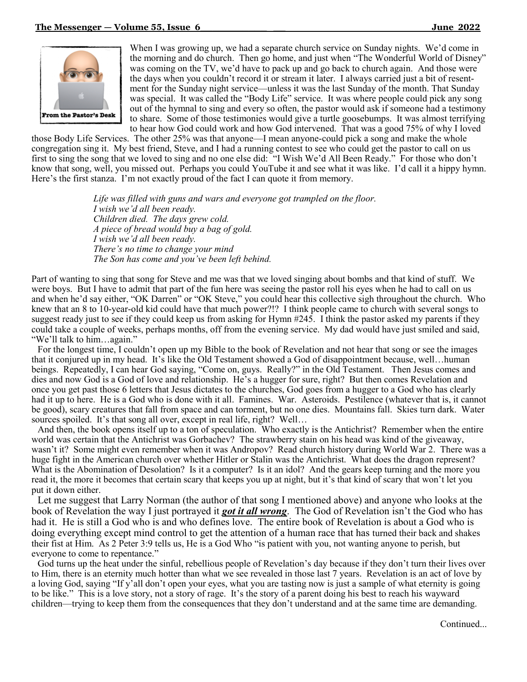

When I was growing up, we had a separate church service on Sunday nights. We'd come in the morning and do church. Then go home, and just when "The Wonderful World of Disney" was coming on the TV, we'd have to pack up and go back to church again. And those were the days when you couldn't record it or stream it later. I always carried just a bit of resentment for the Sunday night service—unless it was the last Sunday of the month. That Sunday was special. It was called the "Body Life" service. It was where people could pick any song out of the hymnal to sing and every so often, the pastor would ask if someone had a testimony to share. Some of those testimonies would give a turtle goosebumps. It was almost terrifying to hear how God could work and how God intervened. That was a good 75% of why I loved

those Body Life Services. The other 25% was that anyone—I mean anyone-could pick a song and make the whole congregation sing it. My best friend, Steve, and I had a running contest to see who could get the pastor to call on us first to sing the song that we loved to sing and no one else did: "I Wish We'd All Been Ready." For those who don't know that song, well, you missed out. Perhaps you could YouTube it and see what it was like. I'd call it a hippy hymn. Here's the first stanza. I'm not exactly proud of the fact I can quote it from memory.

> *Life was filled with guns and wars and everyone got trampled on the floor. I wish we'd all been ready. Children died. The days grew cold. A piece of bread would buy a bag of gold. I wish we'd all been ready. There's no time to change your mind The Son has come and you've been left behind.*

Part of wanting to sing that song for Steve and me was that we loved singing about bombs and that kind of stuff. We were boys. But I have to admit that part of the fun here was seeing the pastor roll his eyes when he had to call on us and when he'd say either, "OK Darren" or "OK Steve," you could hear this collective sigh throughout the church. Who knew that an 8 to 10-year-old kid could have that much power?!? I think people came to church with several songs to suggest ready just to see if they could keep us from asking for Hymn #245. I think the pastor asked my parents if they could take a couple of weeks, perhaps months, off from the evening service. My dad would have just smiled and said, "We'll talk to him…again."

For the longest time, I couldn't open up my Bible to the book of Revelation and not hear that song or see the images that it conjured up in my head. It's like the Old Testament showed a God of disappointment because, well…human beings. Repeatedly, I can hear God saying, "Come on, guys. Really?" in the Old Testament. Then Jesus comes and dies and now God is a God of love and relationship. He's a hugger for sure, right? But then comes Revelation and once you get past those 6 letters that Jesus dictates to the churches, God goes from a hugger to a God who has clearly had it up to here. He is a God who is done with it all. Famines. War. Asteroids. Pestilence (whatever that is, it cannot be good), scary creatures that fall from space and can torment, but no one dies. Mountains fall. Skies turn dark. Water sources spoiled. It's that song all over, except in real life, right? Well...

And then, the book opens itself up to a ton of speculation. Who exactly is the Antichrist? Remember when the entire world was certain that the Antichrist was Gorbachev? The strawberry stain on his head was kind of the giveaway, wasn't it? Some might even remember when it was Andropov? Read church history during World War 2. There was a huge fight in the American church over whether Hitler or Stalin was the Antichrist. What does the dragon represent? What is the Abomination of Desolation? Is it a computer? Is it an idol? And the gears keep turning and the more you read it, the more it becomes that certain scary that keeps you up at night, but it's that kind of scary that won't let you put it down either.

Let me suggest that Larry Norman (the author of that song I mentioned above) and anyone who looks at the book of Revelation the way I just portrayed it *got it all wrong*. The God of Revelation isn't the God who has had it. He is still a God who is and who defines love. The entire book of Revelation is about a God who is doing everything except mind control to get the attention of a human race that has turned their back and shakes their fist at Him. As 2 Peter 3:9 tells us, He is a God Who "is patient with you, not wanting anyone to perish, but everyone to come to repentance."

God turns up the heat under the sinful, rebellious people of Revelation's day because if they don't turn their lives over to Him, there is an eternity much hotter than what we see revealed in those last 7 years. Revelation is an act of love by a loving God, saying "If y'all don't open your eyes, what you are tasting now is just a sample of what eternity is going to be like." This is a love story, not a story of rage. It's the story of a parent doing his best to reach his wayward children—trying to keep them from the consequences that they don't understand and at the same time are demanding.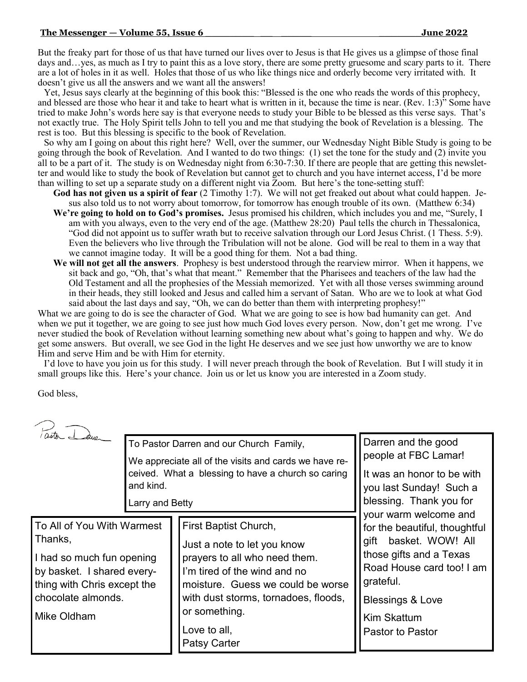But the freaky part for those of us that have turned our lives over to Jesus is that He gives us a glimpse of those final days and…yes, as much as I try to paint this as a love story, there are some pretty gruesome and scary parts to it. There are a lot of holes in it as well. Holes that those of us who like things nice and orderly become very irritated with. It doesn't give us all the answers and we want all the answers!

Yet, Jesus says clearly at the beginning of this book this: "Blessed is the one who reads the words of this prophecy, and blessed are those who hear it and take to heart what is written in it, because the time is near. (Rev. 1:3)" Some have tried to make John's words here say is that everyone needs to study your Bible to be blessed as this verse says. That's not exactly true. The Holy Spirit tells John to tell you and me that studying the book of Revelation is a blessing. The rest is too. But this blessing is specific to the book of Revelation.

So why am I going on about this right here? Well, over the summer, our Wednesday Night Bible Study is going to be going through the book of Revelation. And I wanted to do two things: (1) set the tone for the study and (2) invite you all to be a part of it. The study is on Wednesday night from 6:30-7:30. If there are people that are getting this newsletter and would like to study the book of Revelation but cannot get to church and you have internet access, I'd be more than willing to set up a separate study on a different night via Zoom. But here's the tone-setting stuff:

- **God has not given us a spirit of fear** (2 Timothy 1:7). We will not get freaked out about what could happen. Jesus also told us to not worry about tomorrow, for tomorrow has enough trouble of its own. (Matthew 6:34)
- **We're going to hold on to God's promises.** Jesus promised his children, which includes you and me, "Surely, I am with you always, even to the very end of the age. (Matthew 28:20) Paul tells the church in Thessalonica, "God did not appoint us to suffer wrath but to receive salvation through our Lord Jesus Christ. (1 Thess. 5:9). Even the believers who live through the Tribulation will not be alone. God will be real to them in a way that we cannot imagine today. It will be a good thing for them. Not a bad thing.
- **We will not get all the answers**. Prophesy is best understood through the rearview mirror. When it happens, we sit back and go, "Oh, that's what that meant." Remember that the Pharisees and teachers of the law had the Old Testament and all the prophesies of the Messiah memorized. Yet with all those verses swimming around in their heads, they still looked and Jesus and called him a servant of Satan. Who are we to look at what God said about the last days and say, "Oh, we can do better than them with interpreting prophesy!"

What we are going to do is see the character of God. What we are going to see is how bad humanity can get. And when we put it together, we are going to see just how much God loves every person. Now, don't get me wrong. I've never studied the book of Revelation without learning something new about what's going to happen and why. We do get some answers. But overall, we see God in the light He deserves and we see just how unworthy we are to know Him and serve Him and be with Him for eternity.

I'd love to have you join us for this study. I will never preach through the book of Revelation. But I will study it in small groups like this. Here's your chance. Join us or let us know you are interested in a Zoom study.

God bless,

| sta                                                                                                                                                                  | To Pastor Darren and our Church Family,<br>We appreciate all of the visits and cards we have re-<br>ceived. What a blessing to have a church so caring<br>and kind.<br>Larry and Betty |                                                                                                                                                                                                                                                            | Darren and the good<br>people at FBC Lamar!<br>It was an honor to be with<br>you last Sunday! Such a<br>blessing. Thank you for<br>your warm welcome and<br>for the beautiful, thoughtful<br>basket. WOW! All<br>gift<br>those gifts and a Texas<br>Road House card too! I am<br>grateful.<br><b>Blessings &amp; Love</b><br><b>Kim Skattum</b><br>Pastor to Pastor |
|----------------------------------------------------------------------------------------------------------------------------------------------------------------------|----------------------------------------------------------------------------------------------------------------------------------------------------------------------------------------|------------------------------------------------------------------------------------------------------------------------------------------------------------------------------------------------------------------------------------------------------------|---------------------------------------------------------------------------------------------------------------------------------------------------------------------------------------------------------------------------------------------------------------------------------------------------------------------------------------------------------------------|
| To All of You With Warmest<br>Thanks,<br>I had so much fun opening<br>by basket. I shared every-<br>thing with Chris except the<br>chocolate almonds.<br>Mike Oldham |                                                                                                                                                                                        | First Baptist Church,<br>Just a note to let you know<br>prayers to all who need them.<br>I'm tired of the wind and no<br>moisture. Guess we could be worse<br>with dust storms, tornadoes, floods,<br>or something.<br>Love to all,<br><b>Patsy Carter</b> |                                                                                                                                                                                                                                                                                                                                                                     |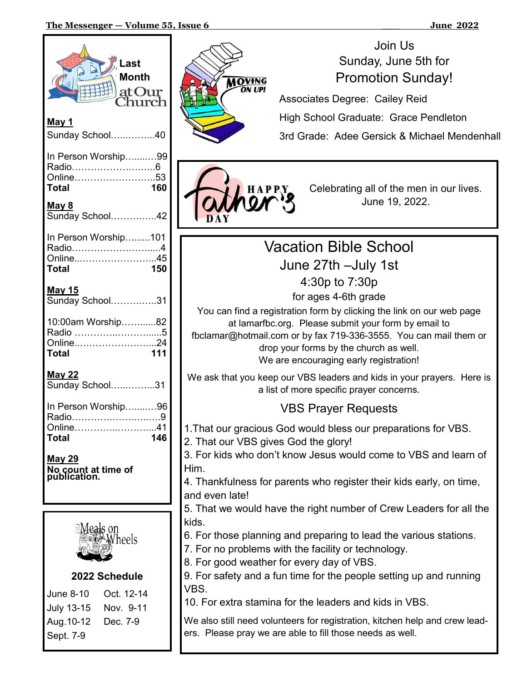| Last<br><b>Month</b><br>at Our<br>Church<br><b>May 1</b><br>Sunday School40 | Join Us<br>Sunday, June 5th for<br><b>Promotion Sunday!</b><br><b>MOVING</b><br>ON UP!<br>Associates Degree: Cailey Reid<br>High School Graduate: Grace Pendleton<br>3rd Grade: Adee Gersick & Michael Mendenhall |  |  |
|-----------------------------------------------------------------------------|-------------------------------------------------------------------------------------------------------------------------------------------------------------------------------------------------------------------|--|--|
| In Person Worship99<br>Online53<br>160<br>Total<br>May 8<br>Sunday School42 | Celebrating all of the men in our lives.<br>HAPPY<br>June 19, 2022.                                                                                                                                               |  |  |
| In Person Worship101<br>Radio4<br>Online45<br>150<br><b>Total</b>           | <b>Vacation Bible School</b><br>June 27th -July 1st                                                                                                                                                               |  |  |
| <u>May 15</u><br>Sunday School31<br>10:00am Worship82                       | 4:30p to 7:30p<br>for ages 4-6th grade<br>You can find a registration form by clicking the link on our web page<br>at lamarfbc.org. Please submit your form by email to                                           |  |  |
| Online24<br>111<br><b>Total</b><br><b>May 22</b>                            | fbclamar@hotmail.com or by fax 719-336-3555. You can mail them or<br>drop your forms by the church as well.<br>We are encouraging early registration!                                                             |  |  |
| Sunday School31                                                             | We ask that you keep our VBS leaders and kids in your prayers. Here is<br>a list of more specific prayer concerns.                                                                                                |  |  |
| In Person Worship96<br>9.<br>Radio                                          | <b>VBS Prayer Requests</b>                                                                                                                                                                                        |  |  |
| . 41<br>Online<br>146<br><b>Total</b>                                       | 1. That our gracious God would bless our preparations for VBS.<br>2. That our VBS gives God the glory!                                                                                                            |  |  |
| <b>May 29</b>                                                               | 3. For kids who don't know Jesus would come to VBS and learn of<br>Him.                                                                                                                                           |  |  |
| No count at time of<br>publication.                                         | 4. Thankfulness for parents who register their kids early, on time,<br>and even late!                                                                                                                             |  |  |
|                                                                             | 5. That we would have the right number of Crew Leaders for all the<br>kids.                                                                                                                                       |  |  |
| Meals on<br>Wheels                                                          | 6. For those planning and preparing to lead the various stations.<br>7. For no problems with the facility or technology.<br>8. For good weather for every day of VBS.                                             |  |  |
| 2022 Schedule                                                               | 9. For safety and a fun time for the people setting up and running                                                                                                                                                |  |  |
| June 8-10<br>Oct. 12-14                                                     | VBS.<br>10. For extra stamina for the leaders and kids in VBS.                                                                                                                                                    |  |  |
| <b>July 13-15</b><br>Nov. 9-11<br>Dec. 7-9<br>Aug. 10-12<br>Sept. 7-9       | We also still need volunteers for registration, kitchen help and crew lead-<br>ers. Please pray we are able to fill those needs as well.                                                                          |  |  |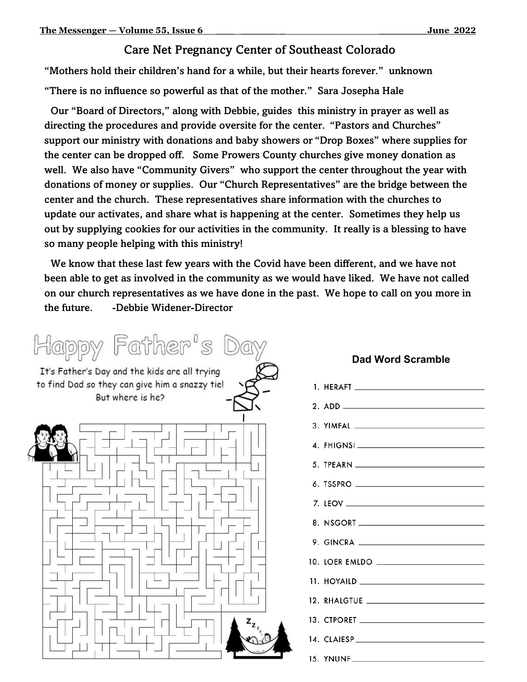### Care Net Pregnancy Center of Southeast Colorado

"Mothers hold their children's hand for a while, but their hearts forever." unknown "There is no influence so powerful as that of the mother." Sara Josepha Hale

Our "Board of Directors," along with Debbie, guides this ministry in prayer as well as directing the procedures and provide oversite for the center. "Pastors and Churches" support our ministry with donations and baby showers or "Drop Boxes" where supplies for the center can be dropped off. Some Prowers County churches give money donation as well. We also have "Community Givers" who support the center throughout the year with donations of money or supplies. Our "Church Representatives" are the bridge between the center and the church. These representatives share information with the churches to update our activates, and share what is happening at the center. Sometimes they help us out by supplying cookies for our activities in the community. It really is a blessing to have so many people helping with this ministry!

We know that these last few years with the Covid have been different, and we have not been able to get as involved in the community as we would have liked. We have not called on our church representatives as we have done in the past. We hope to call on you more in the future. -Debbie Widener-Director